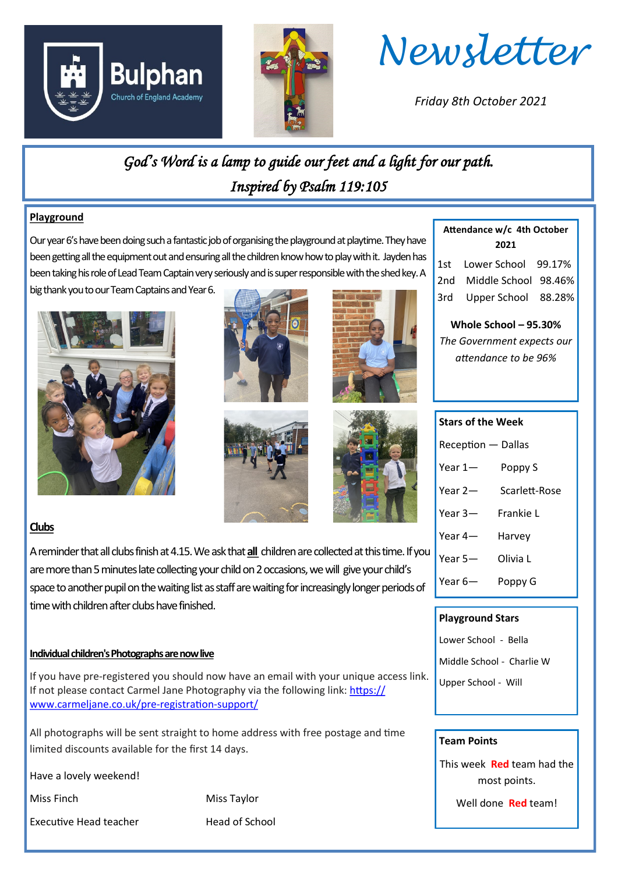





*Friday 8th October 2021*

*God's Word is a lamp to guide our feet and a light for our path. Inspired by Psalm 119:105* 

#### **Playground**

Our year 6's have been doing such a fantastic job of organising the playground at playtime. They have been getting all the equipment out and ensuring all the children know how to play with it. Jayden has been taking his role of Lead Team Captain very seriously and is super responsible with the shed key. A

big thank you to our Team Captains and Year 6.







**Attendance w/c 4th October 2021**

1st Lower School 99.17% 2nd Middle School 98.46% 3rd Upper School 88.28%

**Whole School – 95.30%** *The Government expects our attendance to be 96%*

### **Clubs**

A reminder that all clubs finish at 4.15. We ask that **all** children are collected at this time. If you are more than 5 minutes late collecting your child on 2 occasions, we will give your child's space to another pupil on the waiting list as staff are waiting for increasingly longer periods of time with children after clubs have finished.

#### **Individual children's Photographs are now live**

If you have pre-registered you should now have an email with your unique access link. If not please contact Carmel Jane Photography via the following link: [https://](https://gbr01.safelinks.protection.outlook.com/?url=https%3A%2F%2Fwww.carmeljane.co.uk%2Fpre-registration-support%2F&data=04%7C01%7Cadmin.bulphan%40dcvst.org%7C880c6bd60ee24df6a94508d988e35c02%7C282c78034b8f4fbda3841682df47e3ad%7C1%7C1%7C637691332360463330%7C) [www.carmeljane.co.uk/pre](https://gbr01.safelinks.protection.outlook.com/?url=https%3A%2F%2Fwww.carmeljane.co.uk%2Fpre-registration-support%2F&data=04%7C01%7Cadmin.bulphan%40dcvst.org%7C880c6bd60ee24df6a94508d988e35c02%7C282c78034b8f4fbda3841682df47e3ad%7C1%7C1%7C637691332360463330%7C)-registration-support/

All photographs will be sent straight to home address with free postage and time limited discounts available for the first 14 days.

Have a lovely weekend!

Executive Head teacher **Head of School** 

Miss Finch Miss Taylor

## **Stars of the Week**

- Reception Dallas
- Year 1— Poppy S
- Year 2— Scarlett-Rose
- Year 3— Frankie L
- Year 4— Harvey
- Year 5— Olivia L
- Year 6— Poppy G

#### **Playground Stars**

- Lower School Bella
- Middle School Charlie W
- Upper School Will

#### **Team Points**

This week **Red** team had the most points.

Well done **Red** team!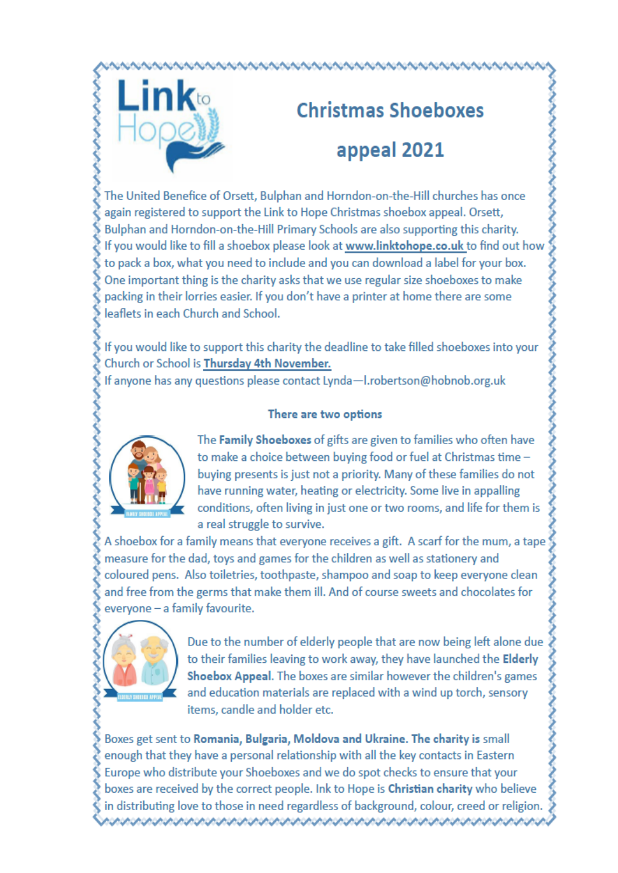

# **Christmas Shoeboxes** appeal 2021

The United Benefice of Orsett, Bulphan and Horndon-on-the-Hill churches has once again registered to support the Link to Hope Christmas shoebox appeal. Orsett, Bulphan and Horndon-on-the-Hill Primary Schools are also supporting this charity. If you would like to fill a shoebox please look at www.linktohope.co.uk to find out how to pack a box, what you need to include and you can download a label for your box. One important thing is the charity asks that we use regular size shoeboxes to make packing in their lorries easier. If you don't have a printer at home there are some leaflets in each Church and School.

If you would like to support this charity the deadline to take filled shoeboxes into your Church or School is Thursday 4th November.

If anyone has any questions please contact Lynda-I.robertson@hobnob.org.uk

#### There are two options



The Family Shoeboxes of gifts are given to families who often have to make a choice between buying food or fuel at Christmas time buving presents is just not a priority. Many of these families do not have running water, heating or electricity. Some live in appalling conditions, often living in just one or two rooms, and life for them is a real struggle to survive.

A shoebox for a family means that everyone receives a gift. A scarf for the mum, a tape measure for the dad, toys and games for the children as well as stationery and coloured pens. Also toiletries, toothpaste, shampoo and soap to keep everyone clean and free from the germs that make them ill. And of course sweets and chocolates for everyone - a family favourite.



Due to the number of elderly people that are now being left alone due to their families leaving to work away, they have launched the Elderly Shoebox Appeal. The boxes are similar however the children's games and education materials are replaced with a wind up torch, sensory items, candle and holder etc.

Boxes get sent to Romania, Bulgaria, Moldova and Ukraine. The charity is small enough that they have a personal relationship with all the key contacts in Eastern Europe who distribute your Shoeboxes and we do spot checks to ensure that your boxes are received by the correct people. Ink to Hope is Christian charity who believe in distributing love to those in need regardless of background, colour, creed or religion.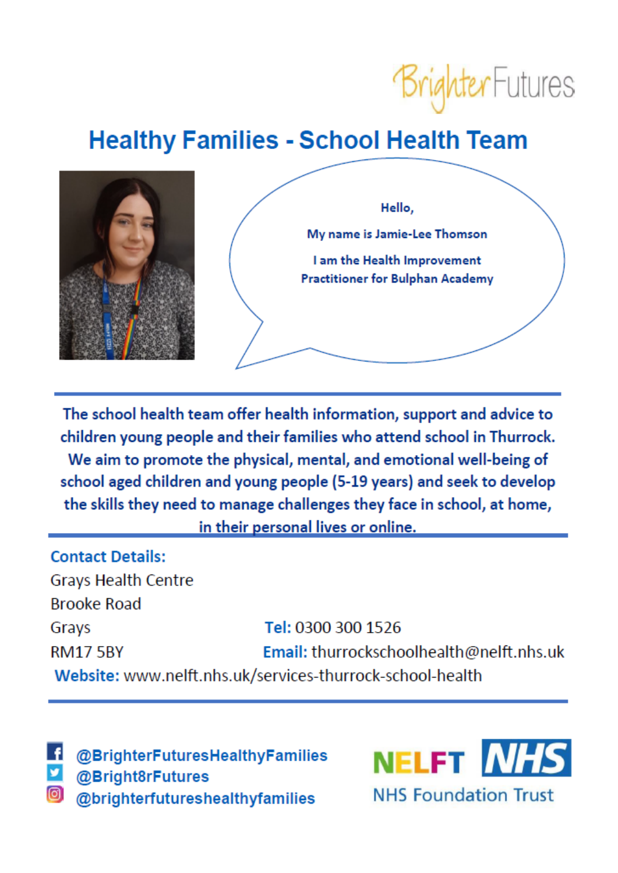

## **Healthy Families - School Health Team**



The school health team offer health information, support and advice to children young people and their families who attend school in Thurrock. We aim to promote the physical, mental, and emotional well-being of school aged children and young people (5-19 years) and seek to develop the skills they need to manage challenges they face in school, at home, in their personal lives or online.

**Contact Details: Grays Health Centre Brooke Road** Tel: 0300 300 1526 Grays Email: thurrockschoolhealth@nelft.nhs.uk **RM17 5BY** Website: www.nelft.nhs.uk/services-thurrock-school-health

@BrighterFuturesHealthyFamilies @Bright8rFutures @brighterfutureshealthyfamilies